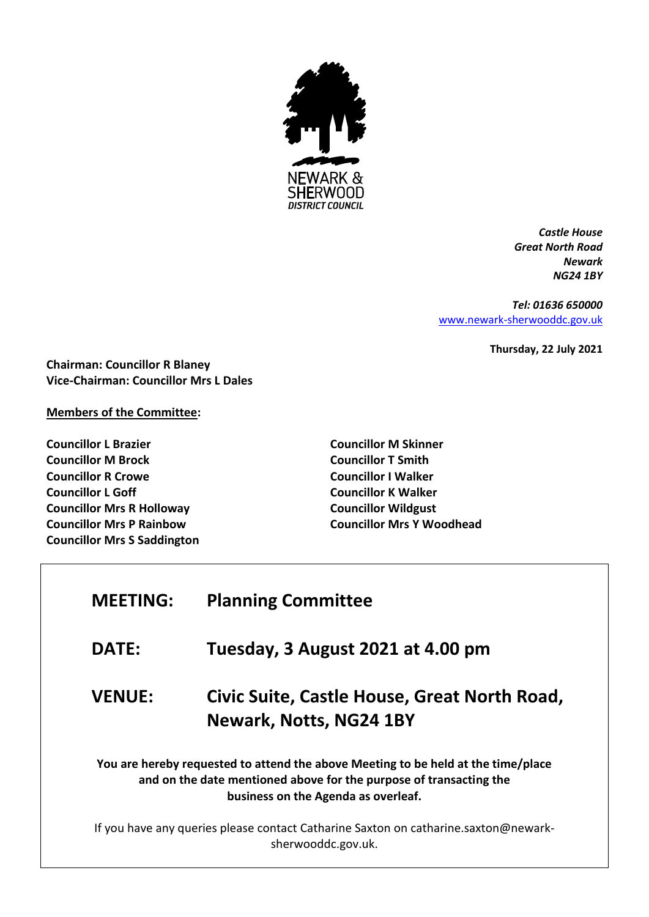

*Castle House Great North Road Newark NG24 1BY*

*Tel: 01636 650000* [www.newark-sherwooddc.gov.uk](http://www.newark-sherwooddc.gov.uk/)

**Thursday, 22 July 2021**

**Chairman: Councillor R Blaney Vice-Chairman: Councillor Mrs L Dales**

## **Members of the Committee:**

**Councillor L Brazier Councillor M Brock Councillor R Crowe Councillor L Goff Councillor Mrs R Holloway Councillor Mrs P Rainbow Councillor Mrs S Saddington** **Councillor M Skinner Councillor T Smith Councillor I Walker Councillor K Walker Councillor Wildgust Councillor Mrs Y Woodhead**

| <b>MEETING:</b>                                                                                                                                                                                | <b>Planning Committee</b>                                               |  |
|------------------------------------------------------------------------------------------------------------------------------------------------------------------------------------------------|-------------------------------------------------------------------------|--|
| <b>DATE:</b>                                                                                                                                                                                   | Tuesday, 3 August 2021 at 4.00 pm                                       |  |
| <b>VENUE:</b>                                                                                                                                                                                  | Civic Suite, Castle House, Great North Road,<br>Newark, Notts, NG24 1BY |  |
| You are hereby requested to attend the above Meeting to be held at the time/place<br>and on the date mentioned above for the purpose of transacting the<br>business on the Agenda as overleaf. |                                                                         |  |
| If you have any queries please contact Catharine Saxton on catharine.saxton@newark-<br>sherwooddc.gov.uk.                                                                                      |                                                                         |  |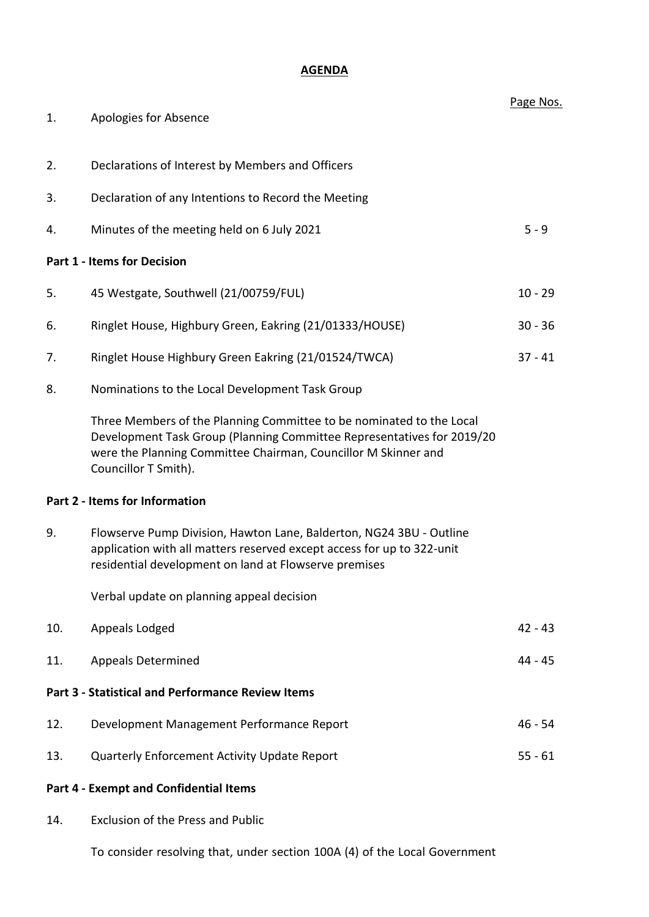## **AGENDA**

| 1.  | Apologies for Absence                                                                                                                                                                                                                    | Page Nos. |
|-----|------------------------------------------------------------------------------------------------------------------------------------------------------------------------------------------------------------------------------------------|-----------|
|     |                                                                                                                                                                                                                                          |           |
| 2.  | Declarations of Interest by Members and Officers                                                                                                                                                                                         |           |
| 3.  | Declaration of any Intentions to Record the Meeting                                                                                                                                                                                      |           |
| 4.  | Minutes of the meeting held on 6 July 2021                                                                                                                                                                                               | $5 - 9$   |
|     | <b>Part 1 - Items for Decision</b>                                                                                                                                                                                                       |           |
| 5.  | 45 Westgate, Southwell (21/00759/FUL)                                                                                                                                                                                                    | $10 - 29$ |
| 6.  | Ringlet House, Highbury Green, Eakring (21/01333/HOUSE)                                                                                                                                                                                  | $30 - 36$ |
| 7.  | Ringlet House Highbury Green Eakring (21/01524/TWCA)                                                                                                                                                                                     | $37 - 41$ |
| 8.  | Nominations to the Local Development Task Group                                                                                                                                                                                          |           |
|     | Three Members of the Planning Committee to be nominated to the Local<br>Development Task Group (Planning Committee Representatives for 2019/20<br>were the Planning Committee Chairman, Councillor M Skinner and<br>Councillor T Smith). |           |
|     | Part 2 - Items for Information                                                                                                                                                                                                           |           |
| 9.  | Flowserve Pump Division, Hawton Lane, Balderton, NG24 3BU - Outline<br>application with all matters reserved except access for up to 322-unit<br>residential development on land at Flowserve premises                                   |           |
|     | Verbal update on planning appeal decision                                                                                                                                                                                                |           |
| 10. | Appeals Lodged                                                                                                                                                                                                                           | $42 - 43$ |
| 11. | <b>Appeals Determined</b>                                                                                                                                                                                                                | 44 - 45   |
|     | <b>Part 3 - Statistical and Performance Review Items</b>                                                                                                                                                                                 |           |
| 12. | Development Management Performance Report                                                                                                                                                                                                | $46 - 54$ |
| 13. | Quarterly Enforcement Activity Update Report                                                                                                                                                                                             | $55 - 61$ |
|     | <b>Part 4 - Exempt and Confidential Items</b>                                                                                                                                                                                            |           |
| 14. | <b>Exclusion of the Press and Public</b>                                                                                                                                                                                                 |           |
|     | To consider resolving that, under section 100A (4) of the Local Government                                                                                                                                                               |           |